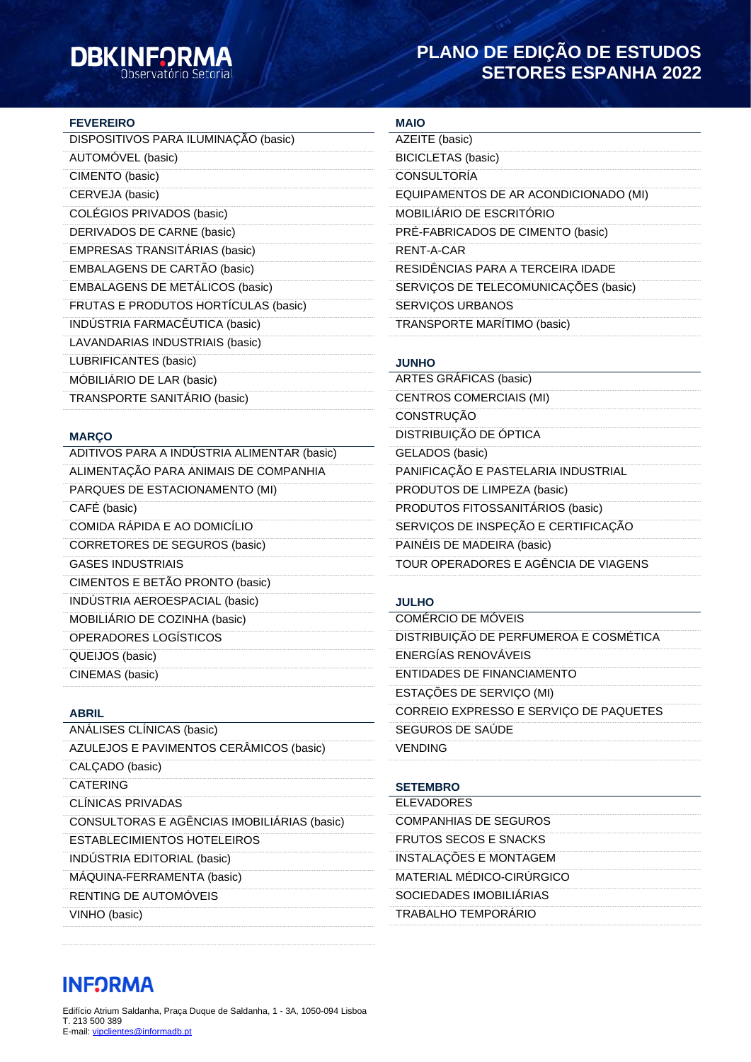# **DBKINFORM**

### **PLANO DE EDIÇÃO DE ESTUDOS SETORES ESPANHA 2022**

#### **FEVEREIRO**

### **MARÇO**

ADITIVOS PARA A INDÚSTRIA ALIMENTAR (basic) ALIMENTAÇÃO PARA ANIMAIS DE COMPANHIA PARQUES DE ESTACIONAMENTO (MI) CAFÉ (basic) COMIDA RÁPIDA E AO DOMICÍLIO CORRETORES DE SEGUROS (basic) GASES INDUSTRIAIS CIMENTOS E BETÃO PRONTO (basic) INDÚSTRIA AEROESPACIAL (basic) MOBILIÁRIO DE COZINHA (basic) OPERADORES LOGÍSTICOS QUEIJOS (basic) CINEMAS (basic)

#### **ABRIL**

| ANÁLISES CLÍNICAS (basic)                   |
|---------------------------------------------|
| AZULEJOS E PAVIMENTOS CERÂMICOS (basic)     |
| CALÇADO (basic)                             |
| <b>CATERING</b>                             |
| CLINICAS PRIVADAS                           |
| CONSULTORAS E AGÊNCIAS IMOBILIÁRIAS (basic) |
| <b>ESTABLECIMIENTOS HOTELEIROS</b>          |
| INDUSTRIA EDITORIAL (basic)                 |
| MAQUINA-FERRAMENTA (basic)                  |
| RENTING DE AUTOMÓVEIS                       |
| VINHO (basic)                               |

#### **MAIO**

| was                                   |
|---------------------------------------|
| AZEITE (basic)                        |
| <b>BICICLETAS</b> (basic)             |
| <b>CONSULTORÍA</b>                    |
| EQUIPAMENTOS DE AR ACONDICIONADO (MI) |
| MOBILIÁRIO DE ESCRITÓRIO              |
| PRE-FABRICADOS DE CIMENTO (basic)     |
| RENT-A-CAR                            |
| RESIDÊNCIAS PARA A TERCEIRA IDADE     |
| SERVIÇOS DE TELECOMUNICAÇÕES (basic)  |
| <b>SERVIÇOS URBANOS</b>               |
| <b>TRANSPORTE MARÍTIMO (basic)</b>    |
|                                       |

## **JUNHO**

| <b>ARTES GRÁFICAS (basic)</b>        |  |
|--------------------------------------|--|
| <b>CENTROS COMERCIAIS (MI)</b>       |  |
| CONSTRUÇÃO                           |  |
| DISTRIBUIÇÃO DE ÓPTICA               |  |
| GELADOS (basic)                      |  |
| PANIFICAÇÃO E PASTELARIA INDUSTRIAL  |  |
| PRODUTOS DE LIMPEZA (basic)          |  |
| PRODUTOS FITOSSANITÁRIOS (basic)     |  |
| SERVIÇOS DE INSPEÇÃO E CERTIFICAÇÃO  |  |
| PAINÉIS DE MADEIRA (basic)           |  |
| TOUR OPERADORES E AGÊNCIA DE VIAGENS |  |

### **JULHO**

| COMÉRCIO DE MÓVEIS                     |
|----------------------------------------|
| DISTRIBUIÇÃO DE PERFUMEROA E COSMÉTICA |
| <b>ENERGÍAS RENOVÁVEIS</b>             |
| ENTIDADES DE FINANCIAMENTO             |
| ESTAÇÕES DE SERVIÇO (MI)               |
| CORREIO EXPRESSO E SERVIÇO DE PAQUETES |
| SEGUROS DE SAUDE                       |
| VENDING                                |

# **SETEMBRO**

| <b>FLEVADORES</b>            |  |
|------------------------------|--|
| COMPANHIAS DE SEGUROS        |  |
| <b>FRUTOS SECOS E SNACKS</b> |  |
| INSTALAÇÕES E MONTAGEM       |  |
| MATERIAL MÉDICO-CIRÚRGICO    |  |
| SOCIEDADES IMOBILIÁRIAS      |  |
| <b>TRABALHO TEMPORÁRIO</b>   |  |

## **INFORMA**

Edifício Atrium Saldanha, Praça Duque de Saldanha, 1 - 3A, 1050-094 Lisboa T. 213 500 389 E-mail: [vipclientes@informadb.pt](mailto:vipclientes@informadb.pt)